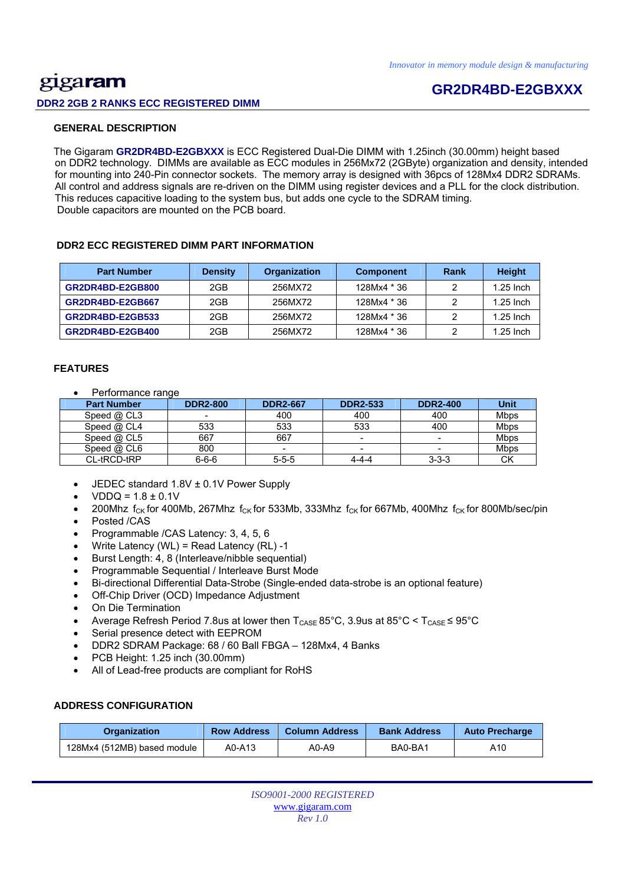## <u>gig</u>a**ram DDR2 2GB 2 RANKS ECC REGISTERED DIMM**

# **GR2DR4BD-E2GBXXX**

### **GENERAL DESCRIPTION**

 The Gigaram **GR2DR4BD-E2GBXXX** is ECC Registered Dual-Die DIMM with 1.25inch (30.00mm) height based on DDR2 technology. DIMMs are available as ECC modules in 256Mx72 (2GByte) organization and density, intended for mounting into 240-Pin connector sockets. The memory array is designed with 36pcs of 128Mx4 DDR2 SDRAMs. All control and address signals are re-driven on the DIMM using register devices and a PLL for the clock distribution. This reduces capacitive loading to the system bus, but adds one cycle to the SDRAM timing. Double capacitors are mounted on the PCB board.

#### **DDR2 ECC REGISTERED DIMM PART INFORMATION**

| <b>Part Number</b> | <b>Density</b> | Organization | <b>Component</b> | Rank | <b>Height</b> |
|--------------------|----------------|--------------|------------------|------|---------------|
| GR2DR4BD-E2GB800   | 2GB            | 256MX72      | 128Mx4 * 36      |      | $1.25$ Inch   |
| GR2DR4BD-E2GB667   | 2GB            | 256MX72      | 128Mx4 * 36      |      | $1.25$ Inch   |
| GR2DR4BD-E2GB533   | 2GB            | 256MX72      | 128Mx4 * 36      |      | $1.25$ Inch   |
| GR2DR4BD-E2GB400   | 2GB            | 256MX72      | 128Mx4 * 36      |      | $1.25$ Inch   |

#### **FEATURES**

Performance range

| <b>Part Number</b> | <b>DDR2-800</b> | <b>DDR2-667</b> | <b>DDR2-533</b> | <b>DDR2-400</b> | <b>Unit</b> |
|--------------------|-----------------|-----------------|-----------------|-----------------|-------------|
| Speed @ CL3        |                 | 400             | 400             | 400             | <b>Mbps</b> |
| Speed $@$ CL4      | 533             | 533             | 533             | 400             | <b>Mbps</b> |
| Speed $@$ CL5      | 667             | 667             |                 | -               | Mbps        |
| Speed @ CL6        | 800             |                 |                 | -               | <b>Mbps</b> |
| CL-tRCD-tRP        | $6 - 6 - 6$     | $5 - 5 - 5$     | 4-4-4           | $3 - 3 - 3$     | <b>CK</b>   |

- JEDEC standard 1.8V ± 0.1V Power Supply
- $VDDQ = 1.8 \pm 0.1V$
- 200Mhz  $f_{CK}$  for 400Mb, 267Mhz  $f_{CK}$  for 533Mb, 333Mhz  $f_{CK}$  for 667Mb, 400Mhz  $f_{CK}$  for 800Mb/sec/pin
- Posted /CAS
- Programmable /CAS Latency: 3, 4, 5, 6
- Write Latency (WL) = Read Latency (RL) -1
- Burst Length: 4, 8 (Interleave/nibble sequential)
- Programmable Sequential / Interleave Burst Mode
- Bi-directional Differential Data-Strobe (Single-ended data-strobe is an optional feature)
- Off-Chip Driver (OCD) Impedance Adjustment
- On Die Termination
- Average Refresh Period 7.8us at lower then  $T_{\text{CASE}}$  85°C, 3.9us at 85°C <  $T_{\text{CASE}}$  ≤ 95°C
- Serial presence detect with EEPROM
- DDR2 SDRAM Package: 68 / 60 Ball FBGA 128Mx4, 4 Banks
- PCB Height: 1.25 inch (30.00mm)
- All of Lead-free products are compliant for RoHS

### **ADDRESS CONFIGURATION**

| <b>Row Address</b><br><b>Organization</b> |        | <b>Column Address</b> | <b>Bank Address</b> | <b>Auto Precharge</b> |  |
|-------------------------------------------|--------|-----------------------|---------------------|-----------------------|--|
| 128Mx4 (512MB) based module               | A0-A13 | A0-A9                 | BA0-BA1             | A10                   |  |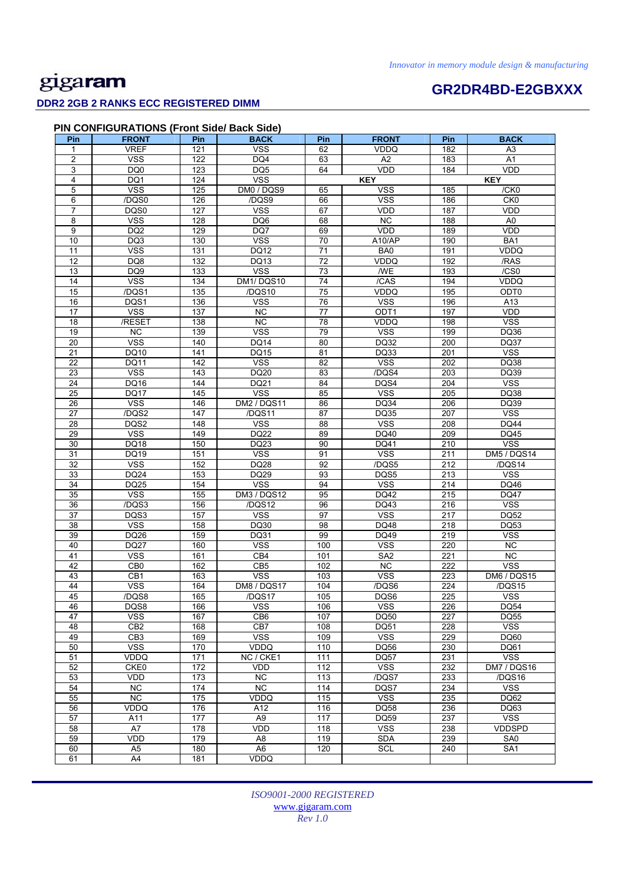### **DDR2 2GB 2 RANKS ECC REGISTERED DIMM**

# **GR2DR4BD-E2GBXXX**

### **PIN CONFIGURATIONS (Front Side/ Back Side)**

| Pin             | <b>FRONT</b>     | Pin              | <b>BACK</b>        | Pin              | <b>FRONT</b>            | Pin | <b>BACK</b>             |
|-----------------|------------------|------------------|--------------------|------------------|-------------------------|-----|-------------------------|
| 1               | <b>VREF</b>      | 121              | <b>VSS</b>         | 62               | <b>VDDQ</b>             | 182 | A <sub>3</sub>          |
| $\overline{2}$  | <b>VSS</b>       | 122              | DQ4                | 63               | A2                      | 183 | A1                      |
| 3               | DQ0              | 123              | DQ <sub>5</sub>    | 64               | VDD                     | 184 | VDD                     |
| 4               | DQ1              | 124              | <b>VSS</b>         |                  | <b>KEY</b>              |     | <b>KEY</b>              |
| 5               | <b>VSS</b>       | 125              | DM0 / DQS9         | 65               | <b>VSS</b>              | 185 | /CK0                    |
| 6               | /DQS0            | 126              | /DQS9              | 66               | <b>VSS</b>              | 186 | CK <sub>0</sub>         |
| $\overline{7}$  | DQS0             | 127              | <b>VSS</b>         | 67               | VDD                     | 187 | VDD                     |
| 8               | <b>VSS</b>       | 128              | DQ6                | 68               | <b>NC</b>               | 188 | A <sub>0</sub>          |
| 9               | DQ <sub>2</sub>  | 129              | DQ7                | 69               | VDD                     | 189 | VDD                     |
| 10              | DQ3              | 130              | <b>VSS</b>         | 70               | A10/AP                  | 190 | BA1                     |
| 11              | <b>VSS</b>       | 131              | <b>DQ12</b>        | $\overline{71}$  | BA0                     | 191 | <b>VDDQ</b>             |
| $\overline{12}$ | $\overline{DQ8}$ | 132              | DQ13               | $\overline{72}$  | VDDQ                    | 192 | /RAS                    |
| 13              | DQ9              | $\overline{133}$ | <b>VSS</b>         | $\overline{73}$  | <b>WE</b>               | 193 | /CS0                    |
| 14              | <b>VSS</b>       | 134              | DM1/DQS10          | 74               | /CAS                    | 194 | <b>VDDQ</b>             |
| 15              | /DQS1            | 135              | /DQS10             | 75               | VDDQ                    | 195 | ODT <sub>0</sub>        |
| 16              | DQS1             | 136              | <b>VSS</b>         | 76               | <b>VSS</b>              | 196 | A13                     |
| 17              | <b>VSS</b>       | 137              | NC                 | 77               | ODT1                    | 197 | VDD                     |
| 18              | /RESET           | 138              | $\overline{NC}$    | 78               | <b>VDDQ</b>             | 198 | <b>VSS</b>              |
| 19              | NC               | 139              | <b>VSS</b>         | 79               | <b>VSS</b>              | 199 | DQ36                    |
| 20              | <b>VSS</b>       | 140              | <b>DQ14</b>        | 80               | DQ32                    | 200 | DQ37                    |
| 21              | DQ10             | 141              | DQ15               | 81               | DQ33                    | 201 | <b>VSS</b>              |
| $\overline{22}$ | DQ11             | 142              | <b>VSS</b>         | $\overline{82}$  | <b>VSS</b>              | 202 | DQ38                    |
| 23              | <b>VSS</b>       | 143              | DQ20               | 83               | /DQS4                   | 203 | DQ39                    |
| 24              | DQ16             | 144              | DQ21               | 84               | DQS4                    | 204 | <b>VSS</b>              |
| 25              | <b>DQ17</b>      | 145              | <b>VSS</b>         | 85               | <b>VSS</b>              | 205 | DQ38                    |
| 26              | <b>VSS</b>       | 146              | DM2 / DQS11        | 86               | DQ34                    | 206 | DQ39                    |
| 27              | /DQS2            | 147              | /DQS11             | 87               | <b>DQ35</b>             | 207 | $\overline{\text{VSS}}$ |
| 28              | DQS2             | 148              | <b>VSS</b>         | 88               | <b>VSS</b>              | 208 | <b>DQ44</b>             |
| 29              | <b>VSS</b>       | 149              | <b>DQ22</b>        | 89               | DQ40                    | 209 | <b>DQ45</b>             |
| 30              | DQ18             | 150              | DQ23               | 90               | DQ41                    | 210 | <b>VSS</b>              |
| 31              | DQ19             | 151              | <b>VSS</b>         | 91               | <b>VSS</b>              | 211 | DM5 / DQS14             |
| $\overline{32}$ | <b>VSS</b>       | 152              | <b>DQ28</b>        | 92               | /DQS5                   | 212 | /DQS14                  |
| 33              | DQ24             | 153              | DQ29               | 93               | DQS5                    | 213 | <b>VSS</b>              |
| $\overline{34}$ | DQ25             | 154              | <b>VSS</b>         | 94               | <b>VSS</b>              | 214 | DQ46                    |
| 35              | <b>VSS</b>       | 155              | <b>DM3 / DQS12</b> | 95               | DQ42                    | 215 | <b>DQ47</b>             |
| 36              | /DQS3            | 156              | /DQS12             | 96               | DQ43                    | 216 | <b>VSS</b>              |
| 37              | DQS3             | 157              | <b>VSS</b>         | 97               | <b>VSS</b>              | 217 | DQ52                    |
| 38              | <b>VSS</b>       | 158              | DQ30               | 98               | DQ48                    | 218 | DQ53                    |
| 39              | DQ26             | 159              | DQ31               | 99               | DQ49                    | 219 | <b>VSS</b>              |
| 40              | <b>DQ27</b>      | 160              | <b>VSS</b>         | 100              | <b>VSS</b>              | 220 | NC                      |
| 41              | <b>VSS</b>       | 161              | CB4                | 101              | SA <sub>2</sub>         | 221 | NC                      |
| 42              | CB <sub>0</sub>  | 162              | CB <sub>5</sub>    | 102              | $\overline{NC}$         | 222 | <b>VSS</b>              |
| 43              | CB1              | 163              | <b>VSS</b>         | 103              | <b>VSS</b>              | 223 | <b>DM6 / DQS15</b>      |
| 44              | <b>VSS</b>       | 164              | DM8 / DQS17        | 104              | /DQS6                   | 224 | /DQS15                  |
| 45              | /DQS8            | 165              | /DQS17             | 105              | DQS6                    | 225 | <b>VSS</b>              |
| 46              | DQS8             | 166              | VSS                | 106              | VSS                     | 226 | DQ54                    |
| 47              | <b>VSS</b>       | 167              | CB6                | 107              | <b>DQ50</b>             | 227 | DQ55                    |
| 48              | CB <sub>2</sub>  | 168              | CB7                | 108              | DQ51                    | 228 | <b>VSS</b>              |
| 49              | CB <sub>3</sub>  | 169              | <b>VSS</b>         | 109              | <b>VSS</b>              | 229 | DQ60                    |
| 50              | <b>VSS</b>       | 170              | VDDQ               | 110              | <b>DQ56</b>             | 230 | DQ61                    |
| 51              | VDDQ             | 171              | NC / CKE1          | $\frac{111}{11}$ | <b>DQ57</b>             | 231 | <b>VSS</b>              |
| 52              | CKE0             | 172              | <b>VDD</b>         | $\frac{1}{12}$   | <b>VSS</b>              | 232 | DM7 / DQS16             |
| 53              | VDD              | 173              | NC                 | 113              | /DQS7                   | 233 | /DQS16                  |
| 54              | <b>NC</b>        | 174              | NC                 | 114              | DQS7                    | 234 | <b>VSS</b>              |
| 55              | $\overline{NC}$  | 175              | VDDQ               | 115              | <b>VSS</b>              | 235 | DQ62                    |
| 56              | VDDQ             | 176              | A12                | 116              | <b>DQ58</b>             | 236 | DQ63                    |
| 57              | A11              | 177              | A <sub>9</sub>     | 117              | DQ59                    | 237 | <b>VSS</b>              |
| 58              | A7               | 178              | VDD                | 118              | $\overline{\text{VSS}}$ | 238 | <b>VDDSPD</b>           |
| 59              | <b>VDD</b>       | 179              | A <sub>8</sub>     | 119              | <b>SDA</b>              | 239 | SA <sub>0</sub>         |
| 60              | A <sub>5</sub>   | 180              | A <sub>6</sub>     | 120              | <b>SCL</b>              | 240 | SA <sub>1</sub>         |
| 61              | A4               | 181              | VDDQ               |                  |                         |     |                         |
|                 |                  |                  |                    |                  |                         |     |                         |

*ISO9001-2000 REGISTERED*  www.gigaram.com *Rev 1.0*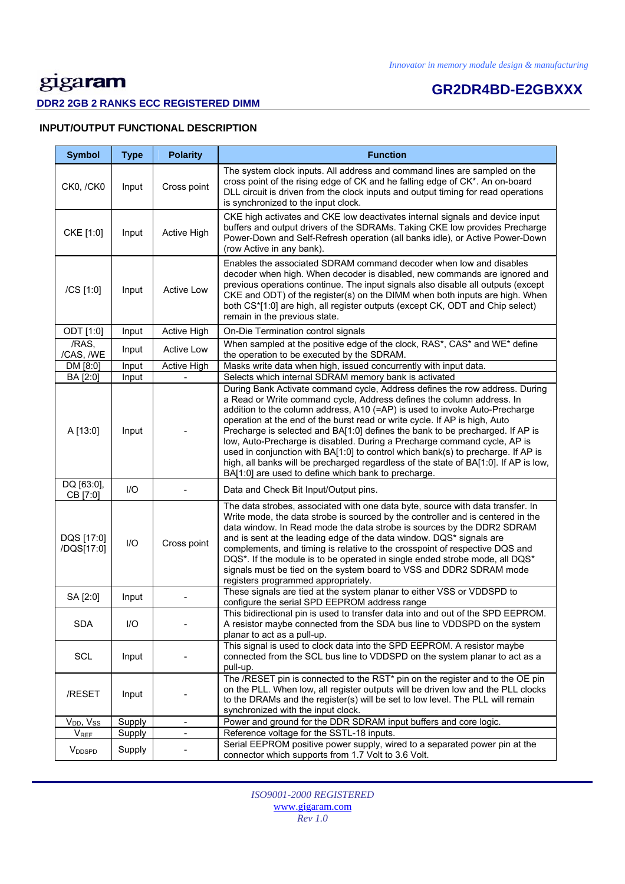# **GR2DR4BD-E2GBXXX**

### **DDR2 2GB 2 RANKS ECC REGISTERED DIMM**

### **INPUT/OUTPUT FUNCTIONAL DESCRIPTION**

| <b>Symbol</b>             | <b>Type</b> | <b>Polarity</b>              | <b>Function</b>                                                                                                                                                                                                                                                                                                                                                                                                                                                                                                                                                                                                                                                                                                  |
|---------------------------|-------------|------------------------------|------------------------------------------------------------------------------------------------------------------------------------------------------------------------------------------------------------------------------------------------------------------------------------------------------------------------------------------------------------------------------------------------------------------------------------------------------------------------------------------------------------------------------------------------------------------------------------------------------------------------------------------------------------------------------------------------------------------|
| CK0, /CK0                 | Input       | Cross point                  | The system clock inputs. All address and command lines are sampled on the<br>cross point of the rising edge of CK and he falling edge of CK*. An on-board<br>DLL circuit is driven from the clock inputs and output timing for read operations<br>is synchronized to the input clock.                                                                                                                                                                                                                                                                                                                                                                                                                            |
| CKE [1:0]                 | Input       | Active High                  | CKE high activates and CKE low deactivates internal signals and device input<br>buffers and output drivers of the SDRAMs. Taking CKE low provides Precharge<br>Power-Down and Self-Refresh operation (all banks idle), or Active Power-Down<br>(row Active in any bank).                                                                                                                                                                                                                                                                                                                                                                                                                                         |
| /CS [1:0]                 | Input       | <b>Active Low</b>            | Enables the associated SDRAM command decoder when low and disables<br>decoder when high. When decoder is disabled, new commands are ignored and<br>previous operations continue. The input signals also disable all outputs (except<br>CKE and ODT) of the register(s) on the DIMM when both inputs are high. When<br>both CS*[1:0] are high, all register outputs (except CK, ODT and Chip select)<br>remain in the previous state.                                                                                                                                                                                                                                                                             |
| ODT [1:0]                 | Input       | Active High                  | On-Die Termination control signals                                                                                                                                                                                                                                                                                                                                                                                                                                                                                                                                                                                                                                                                               |
| /RAS,<br>/CAS, /WE        | Input       | <b>Active Low</b>            | When sampled at the positive edge of the clock, RAS*, CAS* and WE* define<br>the operation to be executed by the SDRAM.                                                                                                                                                                                                                                                                                                                                                                                                                                                                                                                                                                                          |
| DM [8:0]                  | Input       | Active High                  | Masks write data when high, issued concurrently with input data.                                                                                                                                                                                                                                                                                                                                                                                                                                                                                                                                                                                                                                                 |
| BA [2:0]                  | Input       |                              | Selects which internal SDRAM memory bank is activated                                                                                                                                                                                                                                                                                                                                                                                                                                                                                                                                                                                                                                                            |
| A [13:0]                  | Input       |                              | During Bank Activate command cycle, Address defines the row address. During<br>a Read or Write command cycle, Address defines the column address. In<br>addition to the column address, A10 (=AP) is used to invoke Auto-Precharge<br>operation at the end of the burst read or write cycle. If AP is high, Auto<br>Precharge is selected and BA[1:0] defines the bank to be precharged. If AP is<br>low, Auto-Precharge is disabled. During a Precharge command cycle, AP is<br>used in conjunction with BA[1:0] to control which bank(s) to precharge. If AP is<br>high, all banks will be precharged regardless of the state of BA[1:0]. If AP is low,<br>BA[1:0] are used to define which bank to precharge. |
| DQ [63:0],<br>CB [7:0]    | I/O         |                              | Data and Check Bit Input/Output pins.                                                                                                                                                                                                                                                                                                                                                                                                                                                                                                                                                                                                                                                                            |
| DQS [17:0]<br>/DQS[17:0]  | 1/O         | Cross point                  | The data strobes, associated with one data byte, source with data transfer. In<br>Write mode, the data strobe is sourced by the controller and is centered in the<br>data window. In Read mode the data strobe is sources by the DDR2 SDRAM<br>and is sent at the leading edge of the data window. DQS* signals are<br>complements, and timing is relative to the crosspoint of respective DQS and<br>DQS*. If the module is to be operated in single ended strobe mode, all DQS*<br>signals must be tied on the system board to VSS and DDR2 SDRAM mode<br>registers programmed appropriately.                                                                                                                  |
| SA [2:0]                  | Input       |                              | These signals are tied at the system planar to either VSS or VDDSPD to<br>configure the serial SPD EEPROM address range                                                                                                                                                                                                                                                                                                                                                                                                                                                                                                                                                                                          |
| <b>SDA</b>                | 1/O         |                              | This bidirectional pin is used to transfer data into and out of the SPD EEPROM.<br>A resistor maybe connected from the SDA bus line to VDDSPD on the system<br>planar to act as a pull-up.                                                                                                                                                                                                                                                                                                                                                                                                                                                                                                                       |
| SCL                       | Input       |                              | This signal is used to clock data into the SPD EEPROM. A resistor maybe<br>connected from the SCL bus line to VDDSPD on the system planar to act as a<br>pull-up.                                                                                                                                                                                                                                                                                                                                                                                                                                                                                                                                                |
| /RESET                    | Input       |                              | The /RESET pin is connected to the RST* pin on the register and to the OE pin<br>on the PLL. When low, all register outputs will be driven low and the PLL clocks<br>to the DRAMs and the register(s) will be set to low level. The PLL will remain<br>synchronized with the input clock.                                                                                                                                                                                                                                                                                                                                                                                                                        |
| $V_{DD}$ , $V_{SS}$       | Supply      | ä,                           | Power and ground for the DDR SDRAM input buffers and core logic.                                                                                                                                                                                                                                                                                                                                                                                                                                                                                                                                                                                                                                                 |
| <b>V</b> <sub>REF</sub>   | Supply      | $\qquad \qquad \blacksquare$ | Reference voltage for the SSTL-18 inputs.                                                                                                                                                                                                                                                                                                                                                                                                                                                                                                                                                                                                                                                                        |
| <b>V</b> <sub>DDSPD</sub> | Supply      |                              | Serial EEPROM positive power supply, wired to a separated power pin at the<br>connector which supports from 1.7 Volt to 3.6 Volt.                                                                                                                                                                                                                                                                                                                                                                                                                                                                                                                                                                                |

*ISO9001-2000 REGISTERED*  www.gigaram.com *Rev 1.0*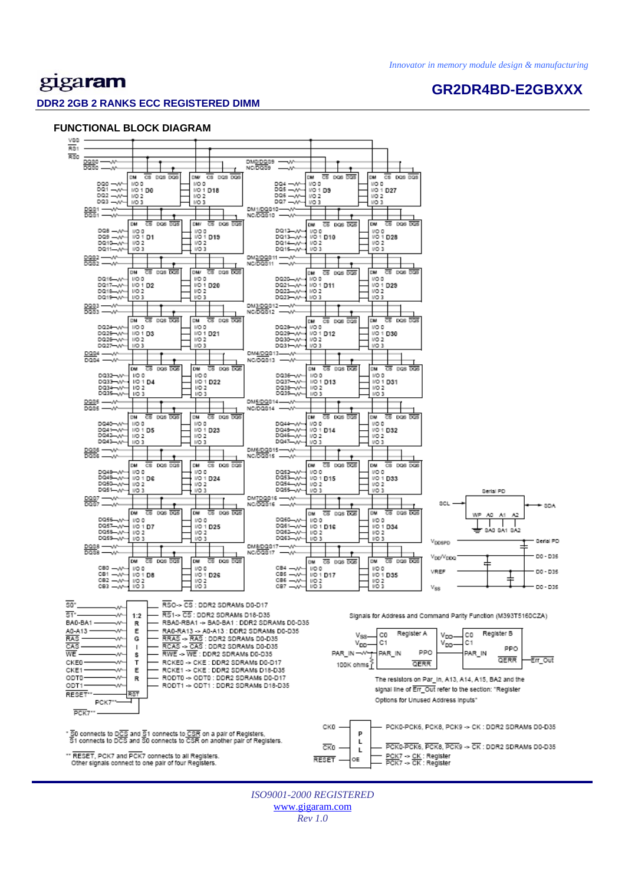**GR2DR4BD-E2GBXXX** 

# gigaram

#### **DDR2 2GB 2 RANKS ECC REGISTERED DIMM**

#### **FUNCTIONAL BLOCK DIAGRAM**



*ISO9001-2000 REGISTERED*  www.gigaram.com *Rev 1.0*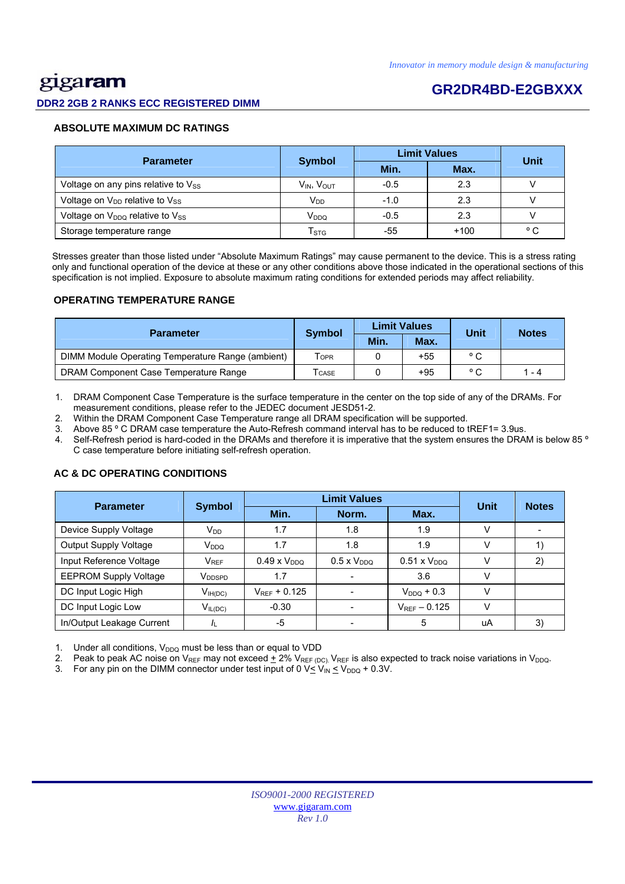# <u>gig</u>aram

#### **DDR2 2GB 2 RANKS ECC REGISTERED DIMM**

## **GR2DR4BD-E2GBXXX**

#### **ABSOLUTE MAXIMUM DC RATINGS**

| <b>Parameter</b>                           |                           | <b>Limit Values</b> | Unit   |              |
|--------------------------------------------|---------------------------|---------------------|--------|--------------|
|                                            | <b>Symbol</b>             | Min.                | Max.   |              |
| Voltage on any pins relative to $V_{SS}$   | $V_{IN}$ , $V_{OUT}$      | $-0.5$              | 2.3    |              |
| Voltage on V <sub>DD</sub> relative to Vss | V <sub>DD</sub>           | $-1.0$              | 2.3    |              |
| Voltage on $V_{DDQ}$ relative to $V_{SS}$  | V <sub>DDQ</sub>          | $-0.5$              | 2.3    |              |
| Storage temperature range                  | $\mathsf{T}_{\text{STG}}$ | -55                 | $+100$ | $^{\circ}$ C |

 Stresses greater than those listed under "Absolute Maximum Ratings" may cause permanent to the device. This is a stress rating only and functional operation of the device at these or any other conditions above those indicated in the operational sections of this specification is not implied. Exposure to absolute maximum rating conditions for extended periods may affect reliability.

#### **OPERATING TEMPERATURE RANGE**

| <b>Parameter</b>                                  |                  |      | <b>Limit Values</b> | Unit           | <b>Notes</b> |  |
|---------------------------------------------------|------------------|------|---------------------|----------------|--------------|--|
|                                                   | <b>Symbol</b>    | Min. | Max.                |                |              |  |
| DIMM Module Operating Temperature Range (ambient) | T <sub>OPR</sub> |      | $+55$               | $^{\circ}$ C   |              |  |
| DRAM Component Case Temperature Range             | <b>CASE</b>      |      | $+95$               | $\circ$ $\sim$ | 1 - 4        |  |

1. DRAM Component Case Temperature is the surface temperature in the center on the top side of any of the DRAMs. For measurement conditions, please refer to the JEDEC document JESD51-2.

2. Within the DRAM Component Case Temperature range all DRAM specification will be supported.

3. Above 85 º C DRAM case temperature the Auto-Refresh command interval has to be reduced to tREF1= 3.9us.

4. Self-Refresh period is hard-coded in the DRAMs and therefore it is imperative that the system ensures the DRAM is below 85 º C case temperature before initiating self-refresh operation.

## Parameter Symbol **Definit Values**<br>Min. Norm. Max. **Unit Notes**  Device Supply Voltage  $V_{DD}$   $V_{DD}$  1.7  $1.8$  1.8 1.9 V Output Supply Voltage VDDQ 1.7 1.8 1.9 V 1) Input Reference Voltage  $V_{REF}$  0.49 x V<sub>DDQ</sub> 0.5 x V<sub>DDQ</sub> 0.51 x V<sub>DDQ</sub> V 2) EEPROM Supply Voltage VDDSPD 1.7 - 3.6 V DC Input Logic High  $V_{\text{H(DC)}}$   $V_{\text{REF}}$  + 0.125  $\vert$  -  $V_{\text{DDQ}}$  + 0.3  $\vert$  V DC Input Logic Low  $V_{IL(DC)}$   $-0.30$   $-V_{REF} - 0.125$  V In/Output Leakage Current |  $I_L$  | -5 | - | 5 | uA | 3)

#### **AC & DC OPERATING CONDITIONS**

Under all conditions,  $V_{DDQ}$  must be less than or equal to VDD

2. Peak to peak AC noise on V<sub>REF</sub> may not exceed  $\pm$  2% V<sub>REF (DC)</sub>. V<sub>REF</sub> is also expected to track noise variations in V<sub>DDQ</sub>.

3. For any pin on the DIMM connector under test input of 0  $V \leq V_{IN} \leq V_{DDQ} + 0.3V$ .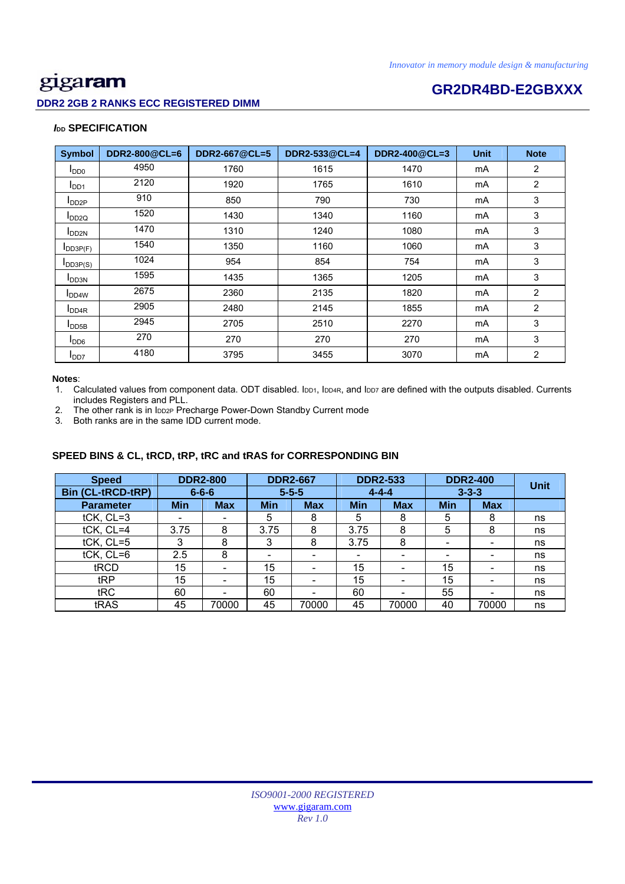### **DDR2 2GB 2 RANKS ECC REGISTERED DIMM**

# **Example 26 and 26 and 26 and 26 and 26 and 26 and 26 and 26 and 26 and 26 and 26 and 26 and 26 and 26 and 26 and 26 and 26 and 26 and 26 and 26 and 26 and 26 and 26 and 26 and 26 and 26 and 26 and 26 and 26 and 26 and 26**

### *I***<sub>DD</sub> SPECIFICATION**

| <b>Symbol</b>              | DDR2-800@CL=6 | DDR2-667@CL=5 | DDR2-533@CL=4 | DDR2-400@CL=3 | <b>Unit</b> | <b>Note</b>    |
|----------------------------|---------------|---------------|---------------|---------------|-------------|----------------|
| $I_{DD0}$                  | 4950          | 1760          | 1615          | 1470          | mA          | $\overline{2}$ |
| I <sub>DD1</sub>           | 2120          | 1920          | 1765          | 1610          | mA          | $\overline{2}$ |
| $I_{DD2P}$                 | 910           | 850           | 790           | 730           | mA          | 3              |
| $I_{DD2Q}$                 | 1520          | 1430          | 1340          | 1160          | mA          | 3              |
| <b>I</b> DD <sub>2N</sub>  | 1470          | 1310          | 1240          | 1080          | mA          | 3              |
| $I$ <sub>DD3P(F)</sub>     | 1540          | 1350          | 1160          | 1060          | mA          | 3              |
| $I_{DD3P(S)}$              | 1024          | 954           | 854           | 754           | mA          | 3              |
| <b>I</b> DD3N              | 1595          | 1435          | 1365          | 1205          | mA          | 3              |
| <b>I</b> DD <sub>4</sub> W | 2675          | 2360          | 2135          | 1820          | mA          | $\overline{2}$ |
| I <sub>DD4R</sub>          | 2905          | 2480          | 2145          | 1855          | mA          | $\overline{2}$ |
| $I_{\text{DDB}}$           | 2945          | 2705          | 2510          | 2270          | mA          | 3              |
| $I_{DD6}$                  | 270           | 270           | 270           | 270           | mA          | 3              |
| I <sub>DD7</sub>           | 4180          | 3795          | 3455          | 3070          | mA          | $\overline{2}$ |

#### **Notes**:

1. Calculated values from component data. ODT disabled. IDD1, IDD4R, and IDD7 are defined with the outputs disabled. Currents includes Registers and PLL.

2. The other rank is in IDD2P Precharge Power-Down Standby Current mode

3. Both ranks are in the same IDD current mode.

### **SPEED BINS & CL, tRCD, tRP, tRC and tRAS for CORRESPONDING BIN**

| <b>Speed</b>             | <b>DDR2-800</b> |                          | <b>DDR2-667</b> |            | <b>DDR2-533</b>          |                          | <b>DDR2-400</b>          |            | <b>Unit</b> |
|--------------------------|-----------------|--------------------------|-----------------|------------|--------------------------|--------------------------|--------------------------|------------|-------------|
| <b>Bin (CL-tRCD-tRP)</b> |                 | $6 - 6 - 6$              | $5 - 5 - 5$     |            | $4 - 4 - 4$              |                          | $3 - 3 - 3$              |            |             |
| <b>Parameter</b>         | <b>Min</b>      | <b>Max</b>               | <b>Min</b>      | <b>Max</b> | <b>Min</b>               | <b>Max</b>               | <b>Min</b>               | <b>Max</b> |             |
| tCK, CL=3                | ۰               |                          | 5               | 8          | 5                        | 8                        | 5                        | 8          | ns          |
| tCK, CL=4                | 3.75            | 8                        | 3.75            | 8          | 3.75                     | 8                        | 5                        | 8          | ns          |
| tCK, CL=5                | 3               | 8                        | 3               | 8          | 3.75                     | 8                        | $\overline{\phantom{0}}$ | -          | ns          |
| $tCK$ , $CL=6$           | 2.5             | 8                        | -               |            | $\overline{\phantom{0}}$ | -                        | -                        |            | ns          |
| tRCD                     | 15              | $\overline{\phantom{0}}$ | 15              | -          | 15                       | -                        | 15                       |            | ns          |
| tRP                      | 15              |                          | 15              |            | 15                       | $\overline{\phantom{0}}$ | 15                       |            | ns          |
| tRC                      | 60              |                          | 60              |            | 60                       |                          | 55                       |            | ns          |
| tRAS                     | 45              | 70000                    | 45              | 70000      | 45                       | 70000                    | 40                       | 70000      | ns          |